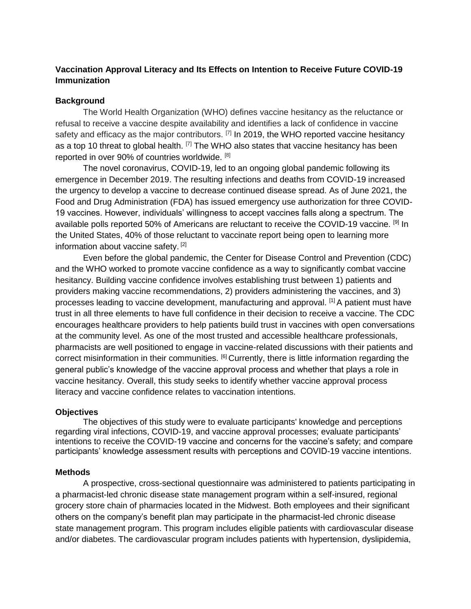# **Vaccination Approval Literacy and Its Effects on Intention to Receive Future COVID-19 Immunization**

# **Background**

The World Health Organization (WHO) defines vaccine hesitancy as the reluctance or refusal to receive a vaccine despite availability and identifies a lack of confidence in vaccine safety and efficacy as the major contributors. <sup>[7]</sup> In 2019, the WHO reported vaccine hesitancy as a top 10 threat to global health.  $[7]$  The WHO also states that vaccine hesitancy has been reported in over 90% of countries worldwide. [8]

The novel coronavirus, COVID-19, led to an ongoing global pandemic following its emergence in December 2019. The resulting infections and deaths from COVID-19 increased the urgency to develop a vaccine to decrease continued disease spread. As of June 2021, the Food and Drug Administration (FDA) has issued emergency use authorization for three COVID-19 vaccines. However, individuals' willingness to accept vaccines falls along a spectrum. The available polls reported 50% of Americans are reluctant to receive the COVID-19 vaccine. <sup>[9]</sup> In the United States, 40% of those reluctant to vaccinate report being open to learning more information about vaccine safety.<sup>[2]</sup>

Even before the global pandemic, the Center for Disease Control and Prevention (CDC) and the WHO worked to promote vaccine confidence as a way to significantly combat vaccine hesitancy. Building vaccine confidence involves establishing trust between 1) patients and providers making vaccine recommendations, 2) providers administering the vaccines, and 3) processes leading to vaccine development, manufacturing and approval. [1] A patient must have trust in all three elements to have full confidence in their decision to receive a vaccine. The CDC encourages healthcare providers to help patients build trust in vaccines with open conversations at the community level. As one of the most trusted and accessible healthcare professionals, pharmacists are well positioned to engage in vaccine-related discussions with their patients and correct misinformation in their communities. <sup>[6]</sup> Currently, there is little information regarding the general public's knowledge of the vaccine approval process and whether that plays a role in vaccine hesitancy. Overall, this study seeks to identify whether vaccine approval process literacy and vaccine confidence relates to vaccination intentions.

#### **Objectives**

The objectives of this study were to evaluate participants' knowledge and perceptions regarding viral infections, COVID-19, and vaccine approval processes; evaluate participants' intentions to receive the COVID-19 vaccine and concerns for the vaccine's safety; and compare participants' knowledge assessment results with perceptions and COVID-19 vaccine intentions.

#### **Methods**

A prospective, cross-sectional questionnaire was administered to patients participating in a pharmacist-led chronic disease state management program within a self-insured, regional grocery store chain of pharmacies located in the Midwest. Both employees and their significant others on the company's benefit plan may participate in the pharmacist-led chronic disease state management program. This program includes eligible patients with cardiovascular disease and/or diabetes. The cardiovascular program includes patients with hypertension, dyslipidemia,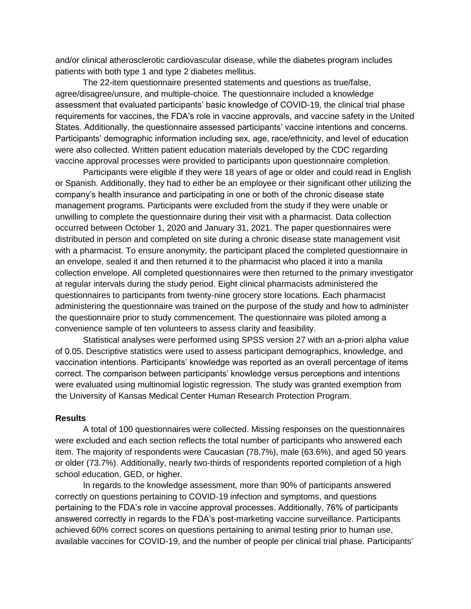and/or clinical atherosclerotic cardiovascular disease, while the diabetes program includes patients with both type 1 and type 2 diabetes mellitus.

The 22-item questionnaire presented statements and questions as true/false, agree/disagree/unsure, and multiple-choice. The questionnaire included a knowledge assessment that evaluated participants' basic knowledge of COVID-19, the clinical trial phase requirements for vaccines, the FDA's role in vaccine approvals, and vaccine safety in the United States. Additionally, the questionnaire assessed participants' vaccine intentions and concerns. Participants' demographic information including sex, age, race/ethnicity, and level of education were also collected. Written patient education materials developed by the CDC regarding vaccine approval processes were provided to participants upon questionnaire completion.

Participants were eligible if they were 18 years of age or older and could read in English or Spanish. Additionally, they had to either be an employee or their significant other utilizing the company's health insurance and participating in one or both of the chronic disease state management programs. Participants were excluded from the study if they were unable or unwilling to complete the questionnaire during their visit with a pharmacist. Data collection occurred between October 1, 2020 and January 31, 2021. The paper questionnaires were distributed in person and completed on site during a chronic disease state management visit with a pharmacist. To ensure anonymity, the participant placed the completed questionnaire in an envelope, sealed it and then returned it to the pharmacist who placed it into a manila collection envelope. All completed questionnaires were then returned to the primary investigator at regular intervals during the study period. Eight clinical pharmacists administered the questionnaires to participants from twenty-nine grocery store locations. Each pharmacist administering the questionnaire was trained on the purpose of the study and how to administer the questionnaire prior to study commencement. The questionnaire was piloted among a convenience sample of ten volunteers to assess clarity and feasibility.

Statistical analyses were performed using SPSS version 27 with an a-priori alpha value of 0.05. Descriptive statistics were used to assess participant demographics, knowledge, and vaccination intentions. Participants' knowledge was reported as an overall percentage of items correct. The comparison between participants' knowledge versus perceptions and intentions were evaluated using multinomial logistic regression. The study was granted exemption from the University of Kansas Medical Center Human Research Protection Program.

## **Results**

A total of 100 questionnaires were collected. Missing responses on the questionnaires were excluded and each section reflects the total number of participants who answered each item. The majority of respondents were Caucasian (78.7%), male (63.6%), and aged 50 years or older (73.7%). Additionally, nearly two-thirds of respondents reported completion of a high school education, GED, or higher.

In regards to the knowledge assessment, more than 90% of participants answered correctly on questions pertaining to COVID-19 infection and symptoms, and questions pertaining to the FDA's role in vaccine approval processes. Additionally, 76% of participants answered correctly in regards to the FDA's post-marketing vaccine surveillance. Participants achieved 60% correct scores on questions pertaining to animal testing prior to human use, available vaccines for COVID-19, and the number of people per clinical trial phase. Participants'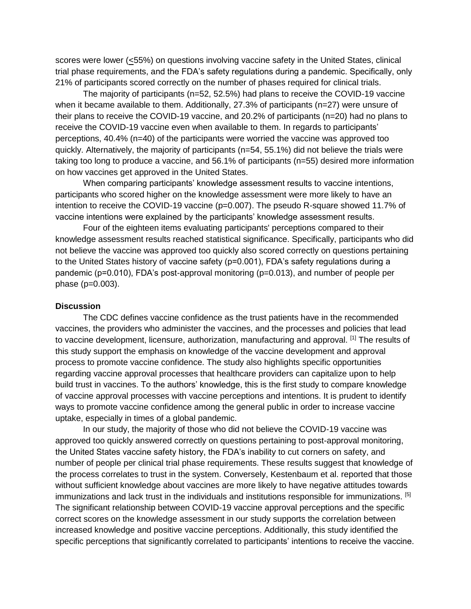scores were lower (<55%) on questions involving vaccine safety in the United States, clinical trial phase requirements, and the FDA's safety regulations during a pandemic. Specifically, only 21% of participants scored correctly on the number of phases required for clinical trials.

The majority of participants (n=52, 52.5%) had plans to receive the COVID-19 vaccine when it became available to them. Additionally, 27.3% of participants (n=27) were unsure of their plans to receive the COVID-19 vaccine, and 20.2% of participants (n=20) had no plans to receive the COVID-19 vaccine even when available to them. In regards to participants' perceptions, 40.4% (n=40) of the participants were worried the vaccine was approved too quickly. Alternatively, the majority of participants (n=54, 55.1%) did not believe the trials were taking too long to produce a vaccine, and 56.1% of participants (n=55) desired more information on how vaccines get approved in the United States.

When comparing participants' knowledge assessment results to vaccine intentions, participants who scored higher on the knowledge assessment were more likely to have an intention to receive the COVID-19 vaccine (p=0.007). The pseudo R-square showed 11.7% of vaccine intentions were explained by the participants' knowledge assessment results.

Four of the eighteen items evaluating participants' perceptions compared to their knowledge assessment results reached statistical significance. Specifically, participants who did not believe the vaccine was approved too quickly also scored correctly on questions pertaining to the United States history of vaccine safety (p=0.001), FDA's safety regulations during a pandemic (p=0.010), FDA's post-approval monitoring (p=0.013), and number of people per phase (p=0.003).

#### **Discussion**

The CDC defines vaccine confidence as the trust patients have in the recommended vaccines, the providers who administer the vaccines, and the processes and policies that lead to vaccine development, licensure, authorization, manufacturing and approval. [1] The results of this study support the emphasis on knowledge of the vaccine development and approval process to promote vaccine confidence. The study also highlights specific opportunities regarding vaccine approval processes that healthcare providers can capitalize upon to help build trust in vaccines. To the authors' knowledge, this is the first study to compare knowledge of vaccine approval processes with vaccine perceptions and intentions. It is prudent to identify ways to promote vaccine confidence among the general public in order to increase vaccine uptake, especially in times of a global pandemic.

In our study, the majority of those who did not believe the COVID-19 vaccine was approved too quickly answered correctly on questions pertaining to post-approval monitoring, the United States vaccine safety history, the FDA's inability to cut corners on safety, and number of people per clinical trial phase requirements. These results suggest that knowledge of the process correlates to trust in the system. Conversely, Kestenbaum et al. reported that those without sufficient knowledge about vaccines are more likely to have negative attitudes towards immunizations and lack trust in the individuals and institutions responsible for immunizations. [5] The significant relationship between COVID-19 vaccine approval perceptions and the specific correct scores on the knowledge assessment in our study supports the correlation between increased knowledge and positive vaccine perceptions. Additionally, this study identified the specific perceptions that significantly correlated to participants' intentions to receive the vaccine.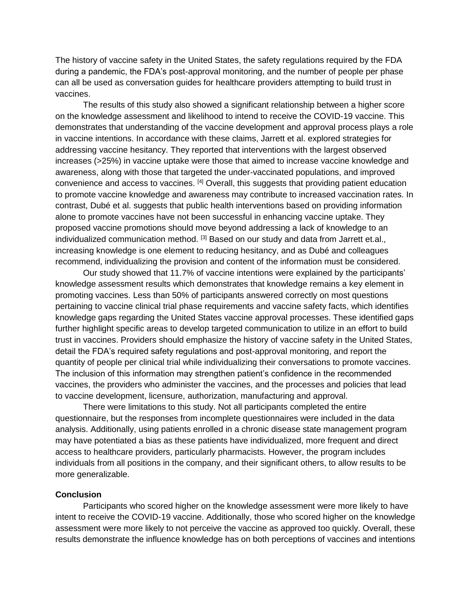The history of vaccine safety in the United States, the safety regulations required by the FDA during a pandemic, the FDA's post-approval monitoring, and the number of people per phase can all be used as conversation guides for healthcare providers attempting to build trust in vaccines.

The results of this study also showed a significant relationship between a higher score on the knowledge assessment and likelihood to intend to receive the COVID-19 vaccine. This demonstrates that understanding of the vaccine development and approval process plays a role in vaccine intentions. In accordance with these claims, Jarrett et al. explored strategies for addressing vaccine hesitancy. They reported that interventions with the largest observed increases (>25%) in vaccine uptake were those that aimed to increase vaccine knowledge and awareness, along with those that targeted the under-vaccinated populations, and improved convenience and access to vaccines. [4] Overall, this suggests that providing patient education to promote vaccine knowledge and awareness may contribute to increased vaccination rates. In contrast, Dubé et al. suggests that public health interventions based on providing information alone to promote vaccines have not been successful in enhancing vaccine uptake. They proposed vaccine promotions should move beyond addressing a lack of knowledge to an individualized communication method.  $[3]$  Based on our study and data from Jarrett et.al., increasing knowledge is one element to reducing hesitancy, and as Dubé and colleagues recommend, individualizing the provision and content of the information must be considered.

Our study showed that 11.7% of vaccine intentions were explained by the participants' knowledge assessment results which demonstrates that knowledge remains a key element in promoting vaccines. Less than 50% of participants answered correctly on most questions pertaining to vaccine clinical trial phase requirements and vaccine safety facts, which identifies knowledge gaps regarding the United States vaccine approval processes. These identified gaps further highlight specific areas to develop targeted communication to utilize in an effort to build trust in vaccines. Providers should emphasize the history of vaccine safety in the United States, detail the FDA's required safety regulations and post-approval monitoring, and report the quantity of people per clinical trial while individualizing their conversations to promote vaccines. The inclusion of this information may strengthen patient's confidence in the recommended vaccines, the providers who administer the vaccines, and the processes and policies that lead to vaccine development, licensure, authorization, manufacturing and approval.

There were limitations to this study. Not all participants completed the entire questionnaire, but the responses from incomplete questionnaires were included in the data analysis. Additionally, using patients enrolled in a chronic disease state management program may have potentiated a bias as these patients have individualized, more frequent and direct access to healthcare providers, particularly pharmacists. However, the program includes individuals from all positions in the company, and their significant others, to allow results to be more generalizable.

## **Conclusion**

Participants who scored higher on the knowledge assessment were more likely to have intent to receive the COVID-19 vaccine. Additionally, those who scored higher on the knowledge assessment were more likely to not perceive the vaccine as approved too quickly. Overall, these results demonstrate the influence knowledge has on both perceptions of vaccines and intentions